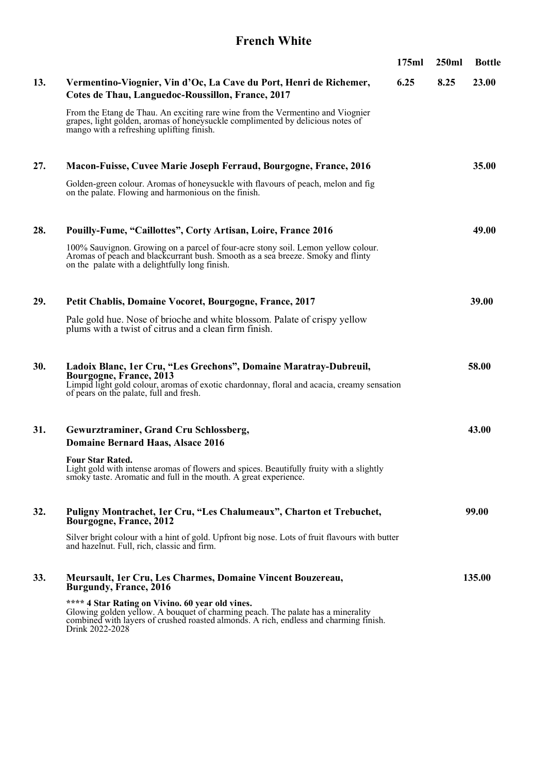### **French White**

|     |                                                                                                                                                                                                                                                 | 175ml | 250ml | <b>Bottle</b> |
|-----|-------------------------------------------------------------------------------------------------------------------------------------------------------------------------------------------------------------------------------------------------|-------|-------|---------------|
| 13. | Vermentino-Viognier, Vin d'Oc, La Cave du Port, Henri de Richemer,<br>Cotes de Thau, Languedoc-Roussillon, France, 2017                                                                                                                         | 6.25  | 8.25  | 23.00         |
|     | From the Etang de Thau. An exciting rare wine from the Vermentino and Viognier<br>grapes, light golden, aromas of honeysuckle complimented by delicious notes of<br>mango with a refreshing uplifting finish.                                   |       |       |               |
| 27. | Macon-Fuisse, Cuvee Marie Joseph Ferraud, Bourgogne, France, 2016                                                                                                                                                                               |       |       | 35.00         |
|     | Golden-green colour. Aromas of honeysuckle with flavours of peach, melon and fig<br>on the palate. Flowing and harmonious on the finish.                                                                                                        |       |       |               |
| 28. | Pouilly-Fume, "Caillottes", Corty Artisan, Loire, France 2016                                                                                                                                                                                   |       |       | 49.00         |
|     | 100% Sauvignon. Growing on a parcel of four-acre stony soil. Lemon yellow colour.<br>Aromas of peach and blackcurrant bush. Smooth as a sea breeze. Smoky and flinty<br>on the palate with a delightfully long finish.                          |       |       |               |
| 29. | Petit Chablis, Domaine Vocoret, Bourgogne, France, 2017                                                                                                                                                                                         |       |       | 39.00         |
|     | Pale gold hue. Nose of brioche and white blossom. Palate of crispy yellow<br>plums with a twist of citrus and a clean firm finish.                                                                                                              |       |       |               |
| 30. | Ladoix Blanc, 1er Cru, "Les Grechons", Domaine Maratray-Dubreuil,<br>Bourgogne, France, 2013<br>Limpid light gold colour, aromas of exotic chardonnay, floral and acacia, creamy sensation<br>of pears on the palate, full and fresh.           |       |       | 58.00         |
| 31. | Gewurztraminer, Grand Cru Schlossberg,<br>Domaine Bernard Haas, Alsace 2016                                                                                                                                                                     |       |       | 43.00         |
|     | Four Star Rated.<br>Light gold with intense aromas of flowers and spices. Beautifully fruity with a slightly<br>smoky taste. Aromatic and full in the mouth. A great experience.                                                                |       |       |               |
| 32. | Puligny Montrachet, 1er Cru, "Les Chalumeaux", Charton et Trebuchet,<br>Bourgogne, France, 2012                                                                                                                                                 |       |       | 99.00         |
|     | Silver bright colour with a hint of gold. Upfront big nose. Lots of fruit flavours with butter<br>and hazelnut. Full, rich, classic and firm.                                                                                                   |       |       |               |
| 33. | Meursault, 1er Cru, Les Charmes, Domaine Vincent Bouzereau,<br><b>Burgundy, France, 2016</b>                                                                                                                                                    |       |       | 135.00        |
|     | **** 4 Star Rating on Vivino. 60 year old vines.<br>Glowing golden yellow. A bouquet of charming peach. The palate has a minerality<br>combined with layers of crushed roasted almonds. A rich, endless and charming finish.<br>Drink 2022-2028 |       |       |               |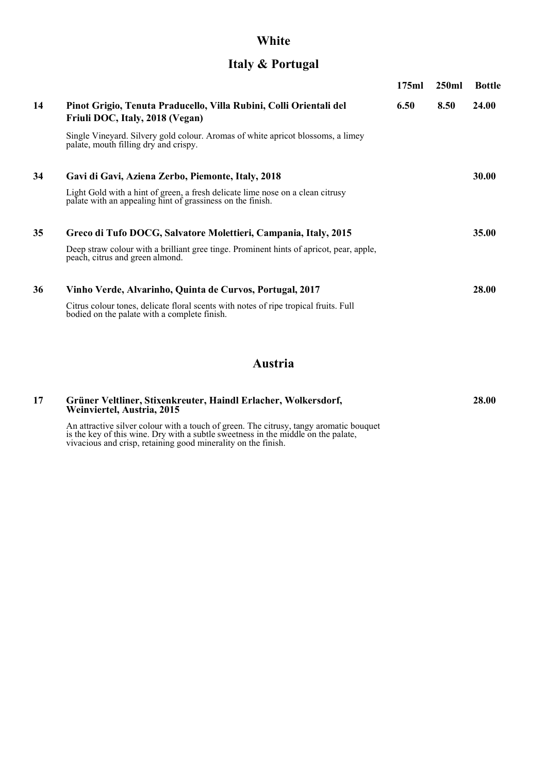# **White**

## **Italy & Portugal**

|    |                                                                                                                                              | 175ml | 250ml | <b>Bottle</b> |
|----|----------------------------------------------------------------------------------------------------------------------------------------------|-------|-------|---------------|
| 14 | Pinot Grigio, Tenuta Praducello, Villa Rubini, Colli Orientali del<br>Friuli DOC, Italy, 2018 (Vegan)                                        | 6.50  | 8.50  | <b>24.00</b>  |
|    | Single Vineyard. Silvery gold colour. Aromas of white apricot blossoms, a limey<br>palate, mouth filling dry and crispy.                     |       |       |               |
| 34 | Gavi di Gavi, Aziena Zerbo, Piemonte, Italy, 2018                                                                                            |       |       | <b>30.00</b>  |
|    | Light Gold with a hint of green, a fresh delicate lime nose on a clean citrusy<br>palate with an appealing hint of grassiness on the finish. |       |       |               |
| 35 | Greco di Tufo DOCG, Salvatore Molettieri, Campania, Italy, 2015                                                                              |       |       | 35.00         |
|    | Deep straw colour with a brilliant gree tinge. Prominent hints of apricot, pear, apple,<br>peach, citrus and green almond.                   |       |       |               |
| 36 | Vinho Verde, Alvarinho, Quinta de Curvos, Portugal, 2017                                                                                     |       |       | <b>28.00</b>  |
|    | Citrus colour tones, delicate floral scents with notes of ripe tropical fruits. Full<br>bodied on the palate with a complete finish.         |       |       |               |
|    |                                                                                                                                              |       |       |               |

## **Austria**

| 17 | Grüner Veltliner, Stixenkreuter, Haindl Erlacher, Wolkersdorf,<br>Weinviertel, Austria, 2015                                                                                                                                                 | 28.00 |
|----|----------------------------------------------------------------------------------------------------------------------------------------------------------------------------------------------------------------------------------------------|-------|
|    | An attractive silver colour with a touch of green. The citrusy, tangy aromatic bouquet<br>is the key of this wine. Dry with a subtle sweetness in the middle on the palate,<br>vivacious and crisp, retaining good minerality on the finish. |       |